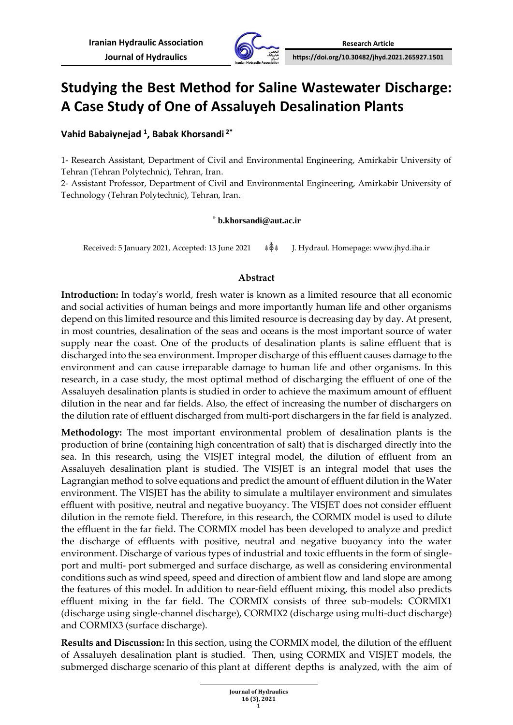

## **Studying the Best Method for Saline Wastewater Discharge: A Case Study of One of Assaluyeh Desalination Plants**

**Vahid Babaiynejad <sup>1</sup> , Babak Khorsandi <sup>2</sup>\***

1- Research Assistant, Department of Civil and Environmental Engineering, Amirkabir University of Tehran (Tehran Polytechnic), Tehran, Iran.

2- Assistant Professor, Department of Civil and Environmental Engineering, Amirkabir University of Technology (Tehran Polytechnic), Tehran, Iran .

### \* **b.khorsandi@aut.ac.ir**

Received: 5 January 2021, Accepted: 13 June <sup>2021</sup>**⸙⸙⸙** J. Hydraul. Homepage: www.jhyd.iha.ir

## **Abstract**

**Introduction:** In today's world, fresh water is known as a limited resource that all economic and social activities of human beings and more importantly human life and other organisms depend on this limited resource and this limited resource is decreasing day by day. At present, in most countries, desalination of the seas and oceans is the most important source of water supply near the coast. One of the products of desalination plants is saline effluent that is discharged into the sea environment. Improper discharge of this effluent causes damage to the environment and can cause irreparable damage to human life and other organisms. In this research, in a case study, the most optimal method of discharging the effluent of one of the Assaluyeh desalination plants is studied in order to achieve the maximum amount of effluent dilution in the near and far fields. Also, the effect of increasing the number of dischargers on the dilution rate of effluent discharged from multi-port dischargers in the far field is analyzed.

**Methodology:** The most important environmental problem of desalination plants is the production of brine (containing high concentration of salt) that is discharged directly into the sea. In this research, using the VISJET integral model, the dilution of effluent from an Assaluyeh desalination plant is studied. The VISJET is an integral model that uses the Lagrangian method to solve equations and predict the amount of effluent dilution in the Water environment. The VISJET has the ability to simulate a multilayer environment and simulates effluent with positive, neutral and negative buoyancy. The VISJET does not consider effluent dilution in the remote field. Therefore, in this research, the CORMIX model is used to dilute the effluent in the far field. The CORMIX model has been developed to analyze and predict the discharge of effluents with positive, neutral and negative buoyancy into the water environment. Discharge of various types of industrial and toxic effluents in the form of singleport and multi- port submerged and surface discharge, as well as considering environmental conditions such as wind speed, speed and direction of ambient flow and land slope are among the features of this model. In addition to near-field effluent mixing, this model also predicts effluent mixing in the far field. The CORMIX consists of three sub-models: CORMIX1 (discharge using single-channel discharge), CORMIX2 (discharge using multi-duct discharge) and CORMIX3 (surface discharge).

**Results and Discussion:** In this section, using the CORMIX model, the dilution of the effluent of Assaluyeh desalination plant is studied. Then, using CORMIX and VISJET models, the submerged discharge scenario of this plant at different depths is analyzed, with the aim of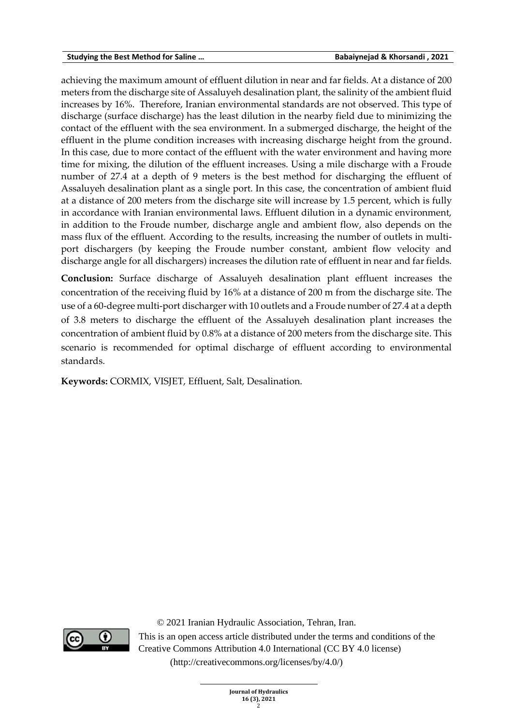#### **Studying the Best Method for Saline … Babaiynejad & Khorsandi , 2021**

achieving the maximum amount of effluent dilution in near and far fields. At a distance of 200 meters from the discharge site of Assaluyeh desalination plant, the salinity of the ambient fluid increases by 16%. Therefore, Iranian environmental standards are not observed. This type of discharge (surface discharge) has the least dilution in the nearby field due to minimizing the contact of the effluent with the sea environment. In a submerged discharge, the height of the effluent in the plume condition increases with increasing discharge height from the ground. In this case, due to more contact of the effluent with the water environment and having more time for mixing, the dilution of the effluent increases. Using a mile discharge with a Froude number of 27.4 at a depth of 9 meters is the best method for discharging the effluent of Assaluyeh desalination plant as a single port. In this case, the concentration of ambient fluid at a distance of 200 meters from the discharge site will increase by 1.5 percent, which is fully in accordance with Iranian environmental laws. Effluent dilution in a dynamic environment, in addition to the Froude number, discharge angle and ambient flow, also depends on the mass flux of the effluent. According to the results, increasing the number of outlets in multiport dischargers (by keeping the Froude number constant, ambient flow velocity and discharge angle for all dischargers) increases the dilution rate of effluent in near and far fields.

**Conclusion:** Surface discharge of Assaluyeh desalination plant effluent increases the concentration of the receiving fluid by 16% at a distance of 200 m from the discharge site. The use of a 60-degree multi-port discharger with 10 outlets and a Froude number of 27.4 at a depth of 3.8 meters to discharge the effluent of the Assaluyeh desalination plant increases the concentration of ambient fluid by 0.8% at a distance of 200 meters from the discharge site. This scenario is recommended for optimal discharge of effluent according to environmental standards.

**Keywords:** CORMIX, VISJET, Effluent, Salt, Desalination.



© 2021 [Iranian Hydraulic Association,](http://www.iha.ir/) Tehran, Iran.

This is an open access article distributed under the terms and conditions of the Creative Commons Attribution 4.0 International (CC BY 4.0 license)

(http://creativecommons.org/licenses/by/4.0/)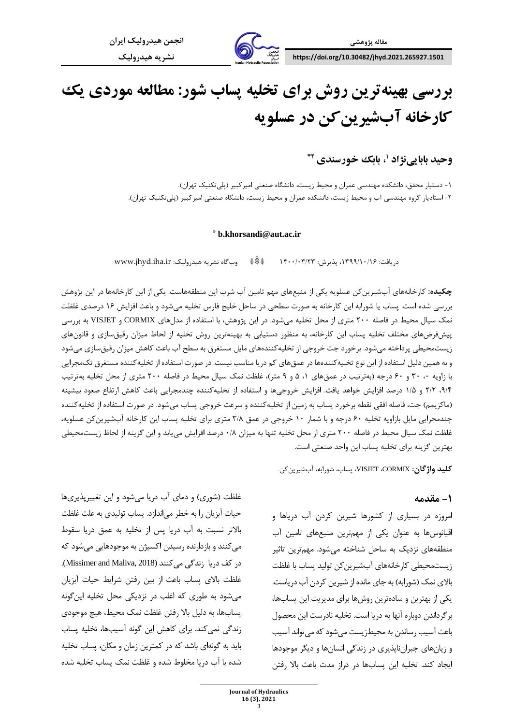

# **بررسی بهینهترین روش برای تخلیه پساب شور: مطالعه مورد ی یک کارخانه آبشیری ن کن در عسلویه**

**، بابک خورسندی <sup>1</sup> وحید بابایینژاد \*2**

-1 دستیار محقق، دانشکده مهندسی عمران و محیط زیست، دانشگاه صنعتی امیرکبیر )پلیتکنیک تهران(. -2 استاد یار گروه مهندسی آب و محیط زیست، دانشکده عمران و محیط زیست، دانشگاه صنعتی امیرکبیر )پلیتکنیک تهران(.

#### \* **b.khorsandi@aut.ac.ir**

دریافت: ،1399/10/16 پذیرش: /03/23 1400 **⸙⸙⸙** وبگاه نشریه هیدرولیک: ir.iha.jhyd.www

**چکیده:** کارخانه های آب شیرینکن عسلویه یکی از منبعهای مهم تامین آب شرب این منطقههاست. یکی از ای ن کارخانه ها در این پژوهش بررسی شده است. پساب یا شورابه این کارخانه به صورت سطحی در ساحل خلیج فارس تخلیه میشود و باعث افزایش 16 درصد ی غلظت نمک سیال محیط در فاصله 200 متری از محل تخلیه میشود. در این پژوهش، با استفاده از مدل های CORMIX و VISJET به بررسی پیش فرضهای مختلف تخلیه پساب این کارخانه، به منظور دستیابی به بهینهترین روش تخلیه از لحاظ میزان رقیقسازی و قانونهای زیستمحیطی پرداخته می شود. برخورد جت خروجی از تخلیهکنندههای مایل مستغرق به سطح آب باعث کاهش میزان رقیق سازی می شود و به همین دلیل استفاده از این نوع تخلیهکنندهها در عمقهای کم دریا مناسب نیست. در صورت استفاده از تخلیهکننده مستغرق تکمجرایی با زاویه ۰، ۳۰ و ۶۰ درجه (بهترتیب در عمقهای ۱، ۵ و ۹ متر)، غلظت نمک سیال محیط در فاصله ۲۰۰ متری از محل تخلیه بهترتیب ۹/۴، ۲/۲ و ۱/۵ درصد افزایش خواهد یافت. افزایش خروجیها و استفاده از تخلیهکننده چندمجرایی باعث کاهش ارتفاع صعود بیشینه (ماکزیمم) جت، فاصله افقی نقطه برخورد پساب به زمین از تخلیهکننده و سرعت خروجی پساب می شود. در صورت استفاده از تخلیهکننده چندمجرایی مایل بازاویه تخلیه ۶۰ درجه و با شمار ۱۰ خروجی در عمق ۳/۸ متری برای تخلیه پساب این کارخانه آبشیرین کن عسلویه، غلظت نمک سیال محیط در فاصله 200 متری از محل تخلیه تنها به میزان 0/8 درصد افزایش مییابد و این گزینه از لحاظ زیستمحیطی بهترین گزینه برای تخلیه پساب این واحد صنعتی است.

**کلید واژگان:** CORMIX، VISJET، پساب، شورابه، آبشیر ینکن.

#### **-1 مقدمه**

غلظت (شوری) و دمای آب دریا میشود و این تغییرپذیریها حیات آبزیان را به خطر می اندازد. پساب تولیدی به علت غلظت بالاتر نسبت به آب دریا پس از تخلیه به عمق دریا سقوط می کنند و بازدارنده رسیدن اکسیژن به موجودهایی می شود که در کف دريا زندگی می کنند (Missimer and Maliva, 2018). غلظت بالای پساب باعث از بین رفتن شرایط حیات آبزیان می شود به طوری که اغلب در نزدیکی محل تخلیه این گونه پسابها، به دلیل بالا رفتن غلظت نمک محیط، هیچ موجودی زندگی نمی کند. برای کاهش این گونه آسیبها، تخلیه پساب باید به گونهای باشد که در کمترین زمان و مکان، پساب تخلیه شده با آب در یا مخلوط شده و غلظت نمک پساب تخلیه شده

امروزه در بسیاری از کشورها شیرین کردن آب دریاها و اقیانوس ها به عنوان یکی از مهمترین منبعهای تامین آب منظقههای نزدیک به ساحل شناخته می شود. مهم ترین تاثیر زیستمحیطی کارخانههای آبشیرین کن تولید یساب با غلظت بالای نمک (شورابه) به جای مانده از شیرین کردن آب در یاست. یکی از بهترین و سادهترین روش ها برای مدیریت این پساب ها، بر گرداندن دوباره آنها به در یا است. تخلیه نادرست این محصول باعث آسیب رساندن به محیط; یست می شود که می تواند آسیب و زیان های جبران ناپذیری در زندگی انسان ها و دیگر موجودها ایجاد کند. تخلیه این پسابها در دراز مدت باعث بالا رفتن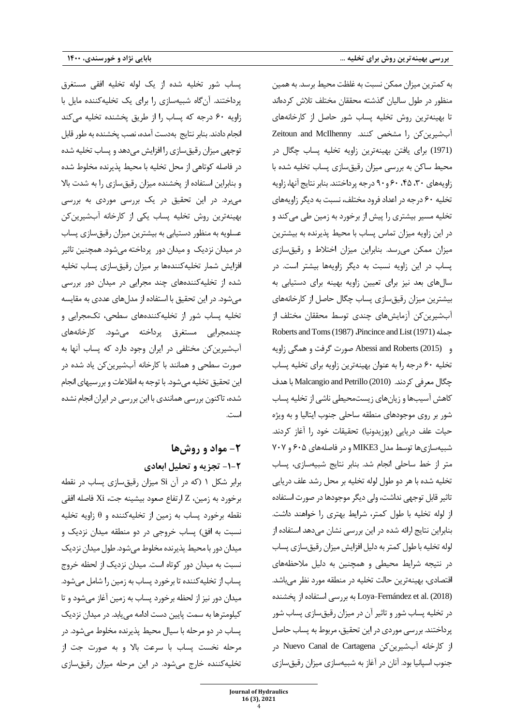یساب شور تخلیه شده از یک لوله تخلیه افقی مستغرق پرداختند. آن گاه شبیهسازی را برای یک تخلیه کننده مایل با زاویه ۶۰ درجه که پساب را از طریق پخشنده تخلیه می کند انجام دادند. بنابر نتایج بهدست آمده، نصب پخشنده به طور قابل توجهی میزان رقیق سازی را افزایش می دهد و پساب تخلیه شده در فاصله کوتاهی از محل تخلیه با محیط پذیرنده مخلوط شده و بنابراین استفاده از یخشنده میزان رقیق سازی را به شدت بالا میبرد. در این تحقیق در یک بررسی موردی به بررسی بهینهترین روش تخلیه پساب یکی از کارخانه آبشیرین کن عسلویه به منظور دستیابی به بیشترین میزان رقیقسازی پساب در میدان نزدیک و میدان دور پرداخته میشود. همچنین تاثیر افزایش شمار تخلیهکنندهها بر میزان رقیقسازی پساب تخلیه شده از تخلیه کنندههای چند مجرایی در میدان دور بررسی می شود. در این تحقیق با استفاده از مدل های عددی به مقایسه تخلیه پساب شور از تخلیه کننده های سطحی، تک مجرایی و چ ندمجرایی مستغرق پرداخته می شود. کارخانه ها ی آب شیرین کن مختلفی در ایران وجود دارد که پساب آنها به صورت سطحی و همانند با کارخانه آبشیرین کن یاد شده در این تحقیق تخلیه می شود. با توجه به اطلاعات و بررسیهای انجام شده، تاکنون بررسی همانندی با این بررسی در ایران انجام نشده است.

## **-2 مواد و روش ها -2 -1 تجزیه و تحلیل ابعادی**

برابر شکل ۱ (که در آن Si میزان رقیق سازی پساب در نقطه برخورد به زم ی ن، Z ارتفاع صعود بیشینه جت ، Xi فاصله افقی نقطه برخورد پساب به زمین از تخلیهکننده و  $\theta$  زاویه تخلیه نسبت به افق) پساب خروجی در دو منطقه میدان نزدیک و میدان دور با محیط پذیرنده مخلوط می شود. طول میدان نزدیک نسبت به میدان دور کوتاه است. میدان نزدیک از لحظه خروج پساب از تخلیه کننده تا برخور د پساب به زمین را شامل می شود. میدان دور نیز از لحظه برخورد پساب به زمین آغاز می شود و تا کیلومتر ها به سمت پایین دست ادامه می یابد. در میدان نزدیک پساب در دو مرحله با سیال محیط پذیرنده مخلوط می شود . در مرحله نخست پساب با سرعت بال و به صورت جت از تخلیه کننده خارج می شود . در این مرحله میزان رقیق سازی

به کمترین میزان ممکن نسبت به غلظت محیط برسد. به همین منظور در طول سالیان گذشته محققان مختلف تلاش کردهاند تا بهینهترین روش تخلیه پساب شور حاصل از کارخانههای آ ب ش ی ر ی ن کن را مشخص کنند. McIlhenny and Zeitoun (1971) برای یافتن بهینهترین زاویه تخلیه پساب چگال در محیط ساکن به بررسی میزان رقیقسازی پساب تخلیه شده با زاویههای ۳۰، ۴۵، ۶۰ و ۹۰ درجه پرداختند. بنابر نتایج آنها، زاویه تخلیه ۶۰ درجه در اعداد فرود مختلف، نسبت به دیگر زاویههای تخلیه مسیر بیشتری را پیش از برخورد به زمین طی می کند و در این زاویه میزان تماس پساب با محیط پذیرنده به بیشترین میزان ممکن می رسد. بنابراین میزان اختلاط و رقیق سازی پساب در این زاویه نسبت به دیگر زاویهها بیشتر است. در سال های بعد نیز برای تعیین زاویه بهینه برای دستیابی به بیشترین میزان رقیق سازی پساب چگال حاصل از کارخانههای آبشیرین کن آزمایش های چندی توسط محققان مختلف از Roberts and Toms (1987) ،Pincince and List (1971) جمله و (2015) Abessi and Roberts صورت گرفت و همگی زاویه تخلیه ۶۰ درجه را به عنوان بهینهترین زاویه برای تخلیه پساب چگال معرفی کردند. Malcangio and Petrillo (2010) با هدف کاهش آسیبها و زیان های زیست محیطی ناشی از تخلیه پساب شور بر روی موجودهای منطقه ساحلی جنوب ایتالیا و به ویژه حیات علف دریایی (یوزیدونیا) تحقیقات خود را آغاز کردند. شبیهسازی ها توسط مدل MIKE3 و در فاصله های ۶۰۵ و ۷۰۷ متر از خط ساحلی انجام شد. بنابر نتایج شبیهسازی، پساب تخلیه شده با هر دو طول لوله تخلیه بر محل رشد علف دریایی تاثیر قابل توجهی نداشت، ولی دیگر موجودها در صورت استفاده از لوله تخلیه با طول کمتر، شرایط بهتری را خواهند داشت. بنابراین نتایج ارائه شده در این بررسی نشان میدهد استفاده از لوله تخلیه با طول کمتر به دلیل افزایش میزان رقیق سازی پساب در نتیجه شرایط محیطی و همچنین به دلیل ملاحظههای اقتصادی، بهینهترین حالت تخلیه در منطقه مورد نظر مے باشد. (2018) به بررسی استفاده از پخشنده Loya-Fernández et al. (2018) در تخلیه پساب شور و تاثیر آن در میزان رقیق سازی پساب شور پرداختند. بررسی موردی در این تحقیق، مربوط به پساب حاصل از کارخانه آب شیرین کن Nuevo Canal de Cartagena در جنوب اسپانیا بود. آنان در آغاز به شبیهسازی میزان رقیق سازی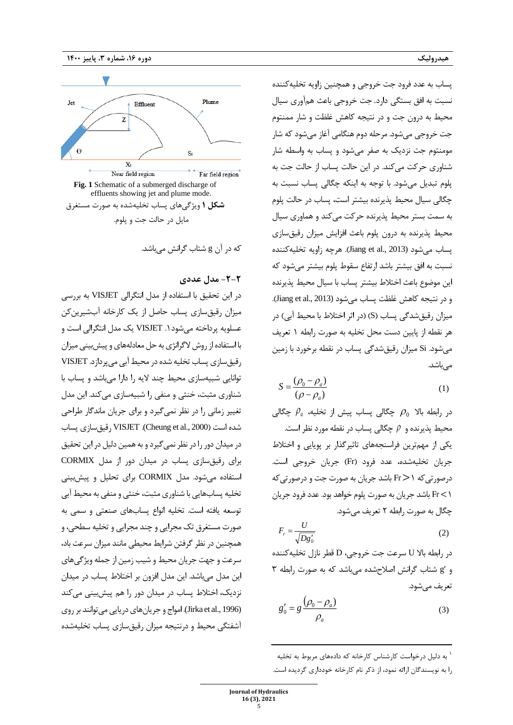

که در آن g شتاب گرانش می باشد.

#### **-2 -2 مدل عددی**

در این تحقیق با استفاده از مدل انتگرالی VISJET به بررسی میزان رقیق سازی پساب حاصل از یک کارخانه آب شیرین کن عسلویه پرداخته می شود ۱. VISJET یک مدل انتگرالی است و با استفاده از روش لاگرانژی به حل معادلههای و پیش بینی میزان رقیق سازی پساب تخلیه شده در محیط آبی می پردازد. VISJET توانایی شبیه سازی محیط چند لیه را دارا می باشد و پساب با شناوری مثبت، خنثی و منفی را شبیهسازی می کند. این مدل تغییر زمانی را در نظر نمیگیرد و برای جریان ماندگار طراحی شده است ) 2000 .,al et Cheung(. VISJET رقیق سازی پسا ب در میدان دور را در نظر نمی گیرد و به همین دلیل در این تحقیق برای رقیق سازی پساب در میدان دور از مدل CORMIX استفاده می شود. مدل CORMIX برای تحلیل و پیش بینی تخلیه پسابهایی با شناوری مثبت، خنثی و منفی به محیط آبی توسعه یافته است. تخلیه انواع پسابهای صنعتی و سمی به صورت مستغرق تک مجرایی و چند مجرایی و تخلیه سطحی، و همچنین در نظر گرفتن شرایط محیطی مانند میزان سرعت باد، سرعت و جهت جریان محیط و شیب زمین از جمله ویژگیهای این مدل می باشد. این مدل افزون بر اختلاط پساب در میدان نزدیک، اختلاط پساب در میدان دور را هم پیشبینی میکند (1996 .Jirka et al). امواج و جریان های دریایی می توانند بر روی آشفتگی محیط و درنتیجه میزان رقیق سازی پساب تخلیه شده

پساب به عدد فر ود جت خروجی و همچنین زاویه تخلیه کننده نسبت به افق بستگی دارد . جت خروجی باعث هم آوری سیال محیط به درون جت و در نتیجه کاهش غلظت و شار ممنتوم جت خروجی می شود . مرحله دوم هنگامی آغاز می شود که شار مومنتوم جت نزدیک به صفر می شود و پساب به واسطه شار شناوری حرکت می کند . در این حالت پساب از حالت جت به پلوم تبدیل می شود. با توجه به اینکه چگالی پساب نسبت به چگالی سیال محیط پذیرنده بیشتر است ، پساب در حالت پلوم به سمت بست ر محیط پذیرنده حرکت می کند و هماوری سیال محیط پذیرنده به درون پلوم باعث افزایش میزان رقیق سازی پساب می شود (2013 .,al et Jiang ). هرچه زاویه تخلیه کننده نسبت به افق بیشتر باشد ارتفاع سقوط پلوم بیشتر می شود که این موضوع باعث اختالط بیشتر پساب با سیال محیط پ ذیرنده و در نتیجه کاهش غلظت پساب می شود (2013 .,al et Jiang ). میزان رقیق شدگی پساب (S) (در اثر اختلاط با محیط آبی) در هر نقطه از پایین دست محل تخلیه به صورت رابطه 1 تعریف می شود. Si میزان رقیق شدگی پساب در نقطه برخورد با زمین می باشد.

$$
S = \frac{(\rho_0 - \rho_a)}{(\rho - \rho_a)}\tag{1}
$$

در رابطه بال <sup>0</sup> *<sup>a</sup>* چگالی پساب پیش از تخلیه، چگالی محیط پذیرنده و  $\rho$  چگالی پساب در نقطه مورد نظر است. یکی از مهم ترین فراسنجه های تاثیرگذار بر پویایی و اختالط جریان تخلیهشده، عدد فرود (Fr) جریان خروجی است. درصورتی که 1< Fr باشد جریان به صورت جت و درصورتی که 1> Fr باشد جریان به صورت پلوم خواهد بود. عدد فرود جریان چگال به صورت رابطه 2 تعریف می شود .

$$
F_r = \frac{U}{\sqrt{Dg_0'}}
$$
 (2)

در رابطه بالا U سرعت جت خروجی، D قطر نازل تخلیه کننده و g شتاب گرانش اصالح شده می باشد که به صورت رابطه 3 تعریف می شود.

$$
g_0' = g \frac{(\rho_0 - \rho_a)}{\rho_a} \tag{3}
$$

1 به دلیل درخواست کارشناس کارخانه که دادههای مربوط به تخلیه را به نویسندگان ارائه نمود، از ذکر نام کارخانه خودداری گردیده است.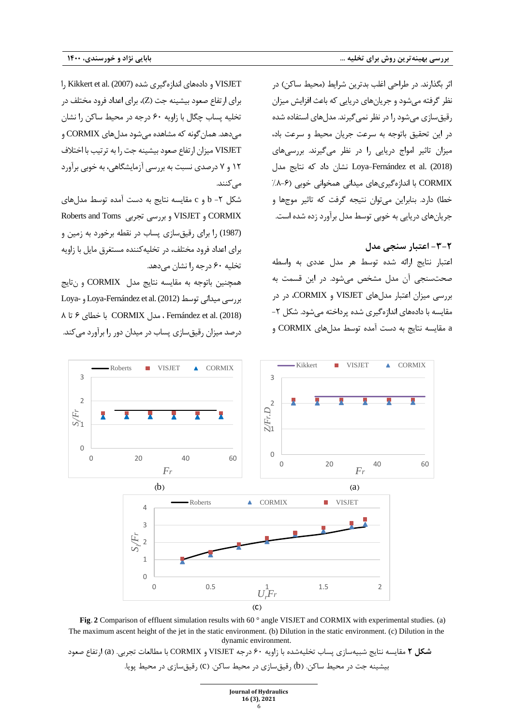اثر بگذارند. در طراحی اغلب بدترین شرایط )محیط ساکن( در نظر گرفته می شود و جریان های دریایی که باعث افزایش میزان رقیق سازی می شود را در نظر نمی گیرند. مدل های استفاده شده در این تحقیق باتوجه به سرعت جریان محیط و سرعت باد، میزان تاثیر امواج دریایی را در نظر می گیرند. بررسی های (2018) Loya-Fernández et al. نشان داد که نتایج مدل CORMIX با اندازه گیری های میدانی همخوانی خوبی ) -6 %8 خطا) دارد. بنابراین می توان نتیجه گرفت که تاثیر موجها و جریان های دریایی به خوبی توسط مدل برآورد زده شده است.

## **-2 -3 اعتبار سنجی مدل**

اعتبار نتایج ارائه شده توسط هر مدل عددی به واسطه صحت سنجی آن مدل مشخص می شود. در این قسمت به بررسی میزان اعتبار مدل های VISJET و CORMIX، در در مقایسه با دادههای اندازهگیری شده پرداخته می شود. شکل ۲a مقایسه نتایج به دست آمده توسط مدل های CORMIX و

VISJET و داده های اندازه گیری شده (2007) .al et Kikkert را برای ارتفاع صعود بیشینه جت (Z)، برای اعداد فرود مختلف در تخلیه پساب چگال با زاویه 60 درجه در محیط ساکن را نشان می دهد. همان گونه که مشاهده می شود مدل های CORMIX و VISJET میزان ارتفاع صعود بیشینه جت را به ترتیب با اختلاف 12 و ۷ درصدی نسبت به بررسی آزمایشگاهی، به خوبی برآورد می کنند.

شکل -2 b و c مقایسه نتایج به دست آمده توسط مدل های Roberts and Toms تجربی بررسی و VISJET و CORMIX (1987) را برای رقیق سازی پساب در نقطه برخورد به زمین و برای اعداد فرود مختلف، در تخلیه کننده مستغرق مایل با زاویه تخلیه 60 درجه را نشان می دهد.

همچنین باتوجه به مقایسه نتایج مدل CORMIX و ن تایج بررس ی میدانی توسط (2012) .al et Fernández-Loya و -Loya (2018) .al et Fernández ، مدل CORMIX با خطای 6 تا 8 درصد میزان رقیق سازی پساب در میدان دور را برآورد می کند.



**Fig.** 2 Comparison of effluent simulation results with 60 ° angle VISJET and CORMIX with experimental studies. (a) The maximum ascent height of the jet in the static environment. (b) Dilution in the static environment. (c) Dilution in the dynamic environment.

**شکل 2** مقایسه نتایج شبیهسازی پساب تخلیهشده با زاویه 60 درجه VISJET و CORMIX با مطالعات تجربی. )a )ارتفاع صعود بیشینه جت در محیط ساکن. (b) رقیقسازی در محیط ساکن. (C) رقیقسازی در محیط پویا.

| <b>Journal of Hydraulics</b> |
|------------------------------|
| 16 (3), 2021                 |
| 6                            |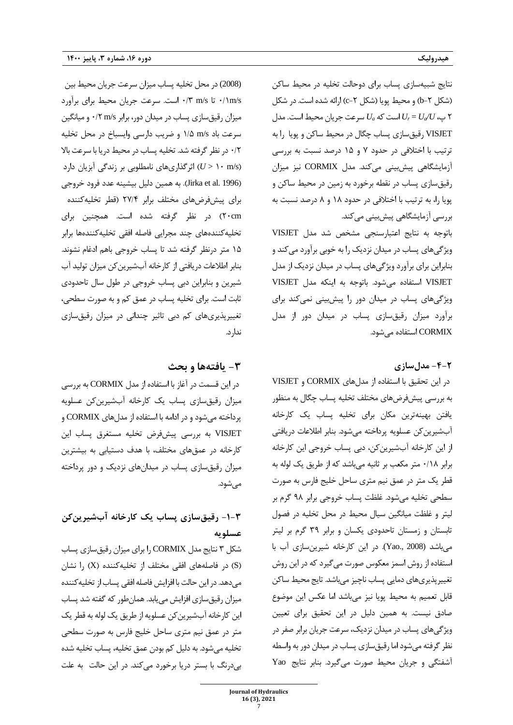نتایج شبیه سازی پساب برای دوحالت تخلیه در محیط ساکن )شکل -2 b )و محیط پویا )شکل -2 c )ارائه شده است. در شکل 2 پ ، *U/Ua= Ur* است که *Ua* سرعت جریان محیط است . مدل VISJET رقیق سازی پساب چگال در محیط ساکن و پویا را به ترتیب با اختلافی در حدود ۷ و ۱۵ درصد نسبت به بررسی آزمایشگاهی پیشبینی می کند. مدل CORMIX نیز میزان رقیق سازی پساب در نقطه برخورد به زمین در محیط ساکن و پویا را، به ترتیب با اختالفی در حدود 18 و 8 درصد نسبت به بررسی آزمایشگاهی پیشبینی میکند.

باتوجه به نتایج اعتبارسنجی مشخص شد مدل VISJET ویژگی های پساب در میدان نزدیک را به خوبی برآورد می کند و بنابراین برای برآورد ویژگیهای پساب در میدان نزدیک از مدل VISJET استفاده می شود. باتوجه به اینکه مدل VISJET ویژگیهای پساب در میدان دور را پیشبینی نمی کند برای برآورد میزان رقیق سازی پساب در میدان دور از مدل CORMIX استفاده می شود.

**-2 -4 مدلسازی** 

 در این تحقیق با استفاده از مدل های CORMIX و VISJET به بررسی پیش فرض های مختلف تخلیه پساب چگال به منظور یافتن بهینه ترین مکان برای تخلیه پساب یک کارخانه آب شیرین کن عسلویه پرداخته می شود. بنابر اطالعات در ی افت ی از این کارخانه آب شیرین کن، دبی پساب خروجی این کارخانه برابر ۰/۱۸ متر مکعب بر ثانیه می باشد که از طریق یک لوله به قطر یک متر در عمق نیم متری ساحل خلیج فارس به صورت سطحی تخلیه می شود. غلظت پساب خروجی برابر ۹۸ گرم بر لیتر و غلظت میانگین سیال محیط در محل تخلیه در فصول تابستان و زمستان تاحدودی یکسان و برابر ٣٩ گرم بر ليتر می باشد (2008 .Yao). در این کارخانه شیرین سازی آب با استفاده از روش اسمز معکوس صورت می گیرد که در این روش تغییر پذیریهای دمایی پساب ناچیز میباشد. تایج محیط ساکن قابل تعمیم به محیط پویا نیز می باشد اما عکس این موضوع صادق نیست. به همین دلیل در این تحقیق برای تعیین ویژگی های پساب در میدان نزدیک، سرعت جریان برابر صفر در نظر گرفته می شود اما رقیق سازی پساب در میدان دور به واسطه آشفتگی و جریان محیط صورت می گیرد. بنابر نتایج Yao

(2008) در محل تخلیه پساب میزان سرعت جریان محیط بین s/m/1 0 تا s/m /3 0 است. سرعت جریان محیط برای برآورد میزان رقیق سازی پساب در میدان دور، برابر s/m /2 0 و میانگین سرعت باد s/m /5 1 و ضریب دارسی وایسباخ در محل تخلیه ۰/۲ در نظر گرفته شد. تخلیه پساب در محیط دریا با سرعت بالا ) s/m 10 > *U* )اثر گذاری های نامطلوبی بر زندگی آبزیان دارد ) 1996 .al et Jirka ). به همین دلیل بیشینه عدد فرود خروجی برای پ یش فرض های مختلف برابر /4 2۷ )قطر تخلیه کننده cm20 )در نظر گرفته شده است. همچنین برای تخلیه کننده های چند مجرایی فاصله افقی تخلیه کننده ها برابر 15 متر درنظر گرفته شد تا پساب خروجی باهم ادغام نشوند. بنابر اطالعات دریافتی از کارخانه آب شیرین کن میزان تولید آب شیرین و بنابراین دبی پساب خروجی در طول سال تاحدودی ثابت است. برای تخلیه پساب در عمق کم و به صورت سطحی، تغییرپذیری های کم دبی تاثیر چندانی در میزان رقیق سازی ندارد.

## **-3 یافته ها و بحث**

 در این قسمت در آغاز با استفاده از مدل CORMIX به بررسی میزان رقیق سازی پساب یک کارخانه آب شیرین کن عسلویه پرداخته می شود و در ادامه با استفاده از مدل های CORMIX و VISJET به بررسی پ یش فرض تخلیه مستغرق پساب این کارخانه در عمق های مختلف، با هدف دستیابی به بیشترین میزان رقیق سازی پساب در میدان های نزدیک و دور پرداخته می شود.

## **-3 -1 رقیقسازی پساب یک کارخانه آبشیرینکن عسلویه**

شکل ۳ نتایج مدل CORMIX را برای میزان رقیق سازی پساب ) S )در فاصله های افقی مختلف از تخلیه کننده ) X )را نشان می دهد. در این حالت با افزایش فاصله افقی پساب از تخلیه کننده میزان رقیق سازی افزایش می یابد. همان طور که گفته شد پساب این کارخانه آبشیرین کن عسلویه از طریق یک لوله به قطر یک متر در عمق نیم متری ساحل خلیج فارس به صورت سطحی تخلیه می شود. به دلیل کم بودن عمق تخلیه، پساب تخلیه شده بے درنگ با بستر دریا برخورد می کند. در این حالت به علت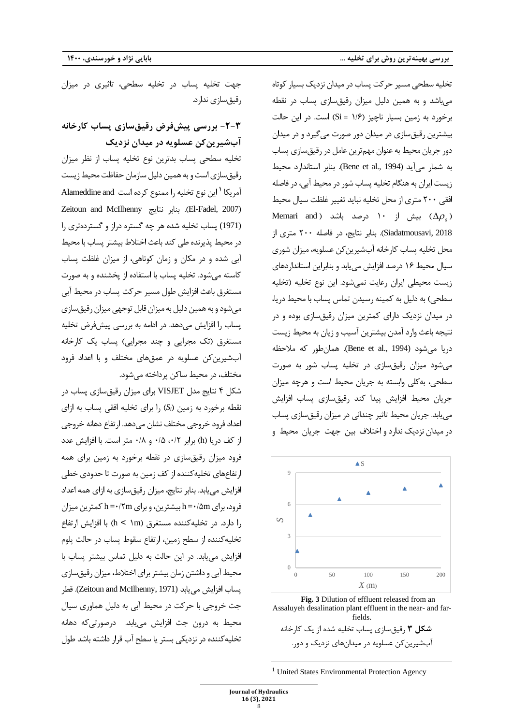تخلیه سطحی مسیر حرکت پساب در میدان نزدیک بسیار کوتاه می باشد و به همین دلیل میزان رقیق سازی پساب در نقطه برخورد به زمین بسیار ناچیز (۱/۶ = Si) است. در این حالت بیشترین رقیق سازی در میدان دور صورت می گیرد و در میدان دور جریان محیط به عنوان مهم ترین عامل در رقیق سازی پساب به شمار می آید (1994 .,al et Bene(. بنابر استاندارد محیط زیست ایران به هنگام تخلیه پساب شور در محیط آبی، در فاصله افقی 200 متر ی از محل تخلیه نباید تغییر غلظت سیال محیط Memari and ) بیش از ۱۰ درصد باشد ( $\Delta\rho_{a}$ 2018 ,Siadatmousavi ). بنابر نتایج، در فاصله 200 متری از محل تخلیه پساب کارخانه آب شیرین کن عسلویه، میزان شوری سیال محیط 16 درصد افزایش می یابد و بنابراین استانداردهای زیست محیطی ایران رعایت نمیشود. این نوع تخلیه (تخلیه سطحی) به دلیل به کمینه رسیدن تماس پساب با محیط دریا، در میدان نزدیک دارای کمترین میزان رقیقسازی بوده و در نتیجه باعث وارد آمدن بیشترین آسیب و زیان به محیط زیست دريا مي شود (1994 .Bene et al,). همان طور که ملاحظه می شود میزان رقیق سازی در تخلیه پساب شور به صورت سطحی، به کلی وابسته به جریان محیط است و هرچه میزان جریان محیط افزایش پیدا کند رقیق سازی پساب افزایش می یابد. جریان محیط تاثیر چندانی در میزان رقیق سازی پساب در میدان نزدیک ندارد و اختالف بین جهت جریان محیط و



**Fig. 3** Dilution of effluent released from an Assaluyeh desalination plant effluent in the near- and farfields.

```
شکل 3 رقیقسازی پساب تخلیه شده از یک کارخانه 
آبشیرین کن عسلویه در میدان های نزدیک و دور.
```
جهت تخلیه پساب در تخلیه سطحی، تاثیری در میزان رقیق سازی ندارد.

## **-2-3 بررسی پیشفرض رقیقسازی پساب کارخانه آبشیرینکن عسلویه در میدان نزدیک**

تخلیه سطحی پساب بدترین نوع تخلیه پساب از نظر میزان رقیق سازی است و به همین دلیل سازمان حفاظت محیط زیست این نوع تخلیه را ممنوع کرده است and Alameddine **<sup>1</sup>** آمریکا Zeitoun and McIlhenny نتایج بنابر .( El-Fadel, 2007) (1971) پساب تخلیه شده هر چه گستره دراز و گسترده تری را در محیط پذیرنده طی کند باعث اختلاط بیشتر پساب با محیط آبی شده و در مکان و زمان کوتاهی، از میزان غلظت پساب کاسته می شود. تخلیه پساب با استفاده از پخشنده و به صورت مستغرق باعث افزایش طول مسیر حرکت پساب در محیط آبی می شود و به همین دلیل به میزان قابل توجهی میزان رقیق سازی یساب را افزایش می دهد. در ادامه به بررسی پیش فرض تخلیه مستغرق )تک مجرایی و چند مجرایی( پساب یک کارخانه آب شیرین کن عسلویه در عمقهای مختلف و با اعداد فرود مختلف، در محیط ساکن پرداخته می شود.

شکل ۴ نتایج مدل VISJET برای میزان رقیقسازی پساب در نقطه برخورد به زمین (S<sub>i</sub>) را برای تخلیه افقی پساب به ازای اعداد فرود خروجی مختلف نشان می دهد. ارتفاع دهانه خروجی از کف دریا (h) برابر ۰/۵ ،۰/۲ و ۰/۸ متر است. با افزایش عدد فرود میزان رقیق سازی در نقطه برخورد به زمین برای همه ارتفاع های تخلیه کننده از کف زمین به صورت تا حدودی خطی افزایش می یابد. بنابر نتایج، میزان رقیقسازی به ازای همه اعداد فرود، برای h=۰/۲m بیشترین، و برای h=۰/۲m کمترین میزان را دارد. در تخلیهکننده مستغرق (h < \m) با افزایش ارتفاع تخلیه کننده از سطح زمین، ارتفاع سقوط پساب در حالت پلوم افزایش می یابد. در این حالت به دلیل تماس بیشتر پساب با محیط آبی و داشتن زمان بیشتر برای اختلاط، میزان رقیق سازی پساب افزایش می یابد (Zeitoun and McIlhenny, 1971). قطر جت خروجی با حرکت در محیط آبی به دلیل هماوری سیال محیط به درون جت افزایش می یابد. درصورتی که دهانه تخلیه کننده در نزدیکی بستر یا سطح آب قرار داشته باشد طول

<sup>&</sup>lt;sup>1</sup> United States Environmental Protection Agency

**Journal of Hydraulics 16 (3), 2021** 8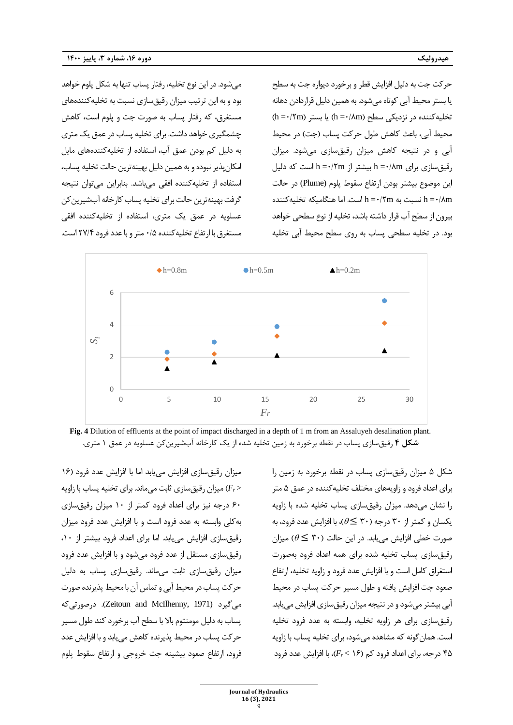می شود. در این نوع تخلیه، رفتار پساب تنها به شکل پلوم خواهد بود و به این ترتیب میزان رقیق سازی نسبت به تخلیه کنندههای مستغرق، که رفتار پساب به صورت جت و پلوم است، کاهش چشمگیری خواهد داشت. برای تخلیه پساب در عمق یک متری به دلیل کم بودن عمق آب، استفاده از تخلیه کننده های مایل امکان پذیر نبوده و به همین دلیل بهینه ترین حالت تخلیه پساب، استفاده از تخلیه کننده افقی می باشد. بنابراین می توان نتیجه گرفت بهینه ترین حالت برای تخلیه پساب کارخانه آبشیرین کن عسلویه در عمق یک متری، استفاده از تخلیهکننده افقی مستغرق با ارتفاع تخلیه کننده ۰/۵ متر و با عدد فرود ۲۷/۴ است.

حرکت جت به دلیل افزایش قطر و برخورد دیواره جت به سطح یا بستر محیط آبی کوتاه می شود. به همین دلیل قراردادن دهانه  $(h = \cdot$ /۲m) تخلیه کننده در نزدیکی سطح  $(h = \cdot / 8)$  یا بستر محیط آبی، باعث کاهش طول حرکت پساب (جت) در محیط آبی و در نتیجه کاهش میزان رقیق سازی می شود. میزان  $h = \cdot$ /۲m بیشتر از h = $\cdot$ /۲m است که دلیل h = $\cdot$ /۸m بیشتر از این موضوع بیشتر بودن ارتفاع سقوط پلوم (Plume (در حالت m نسبت به h =٠/٢m است. اما هنگامیکه تخلیهکننده h =٠/٨m بیرون از سطح آب قرار داشته باشد، تخلیه از نوع سطحی خواهد بود. در تخلیه سطحی پساب به روی سطح محیط آبی تخلیه



**Fig. 4** Dilution of effluents at the point of impact discharged in a depth of 1 m from an Assaluyeh desalination plant. **شکل 4** رقیق سازی پساب در نقطه برخورد به زمین تخلیه شده از یک کارخانه آب شیرین کن عسلویه در عمق 1 متری.

میزان رقیق سازی افزایش می یابد اما با افزایش عدد فرود (۱۶ میزان رقیق سازی ثابت می ماند. برای تخلیه پساب با زاویه  $(F_r >$ 60 درجه نیز برای اعداد فرود کمتر از 10 میزان رقیق سازی به کلی وابسته به عدد فرود است و با افزایش عدد فرود میزان رقیق سازی افزایش می یابد. اما برای اعداد فرود بیشتر از ،10 رقیق سازی مستقل از عدد فرود می شود و با افزایش عدد فرود میزان رقیق سازی ثابت می ماند. رقیق سازی پساب به دلیل حرکت پساب در محیط آبی و تماس آن با محیط پذیرنده صورت می گیرد (1971 ,McIlhenny and Zeitoun ). درصورتی که پساب به دلیل مومنتوم بال با سطح آب برخورد کند طول مسیر حرکت پساب در محیط پذیرنده کاهش می یابد و با افزایش عدد فرود، ارتفاع صعود بیشینه جت خروجی و ارتفاع سقوط پلوم

شکل ۵ میزان رقیق سازی پساب در نقطه برخورد به زمین را برای اعداد فرود و زاویههای مختلف تخلیه کننده در عمق ۵ متر را نشان می دهد. میزان رقیق سازی پساب تخلیه شده با زاویه یکسان و کمتر از ۳۰ درجه (۳۰  $\in \mathfrak{S}$ )، با افزایش عدد فرود، به صورت خطی افزایش می یابد. در این حالت (۳۰  $\theta \leq r$ ) میزان رقیق سازی پساب تخلیه شده برای همه اعداد فرود بهصورت استغراق کامل است و با افزایش عدد فرود و زاویه تخلیه، ارتفاع صعود جت افزایش یافته و طول مسیر حرکت پساب در محیط آبی بیشتر می شود و در نتیجه میزان رقیق سازی افزایش می یابد. رقیق سازی برای هر زاویه تخلیه، وابسته به عدد فرود تخلیه است. همان گونه که مشاهده می شود، برای تخلیه پساب با زاویه 45 درج ه ، برای اعداد فرود کم ) 16 > *Fr*)، با افزایش عدد فرود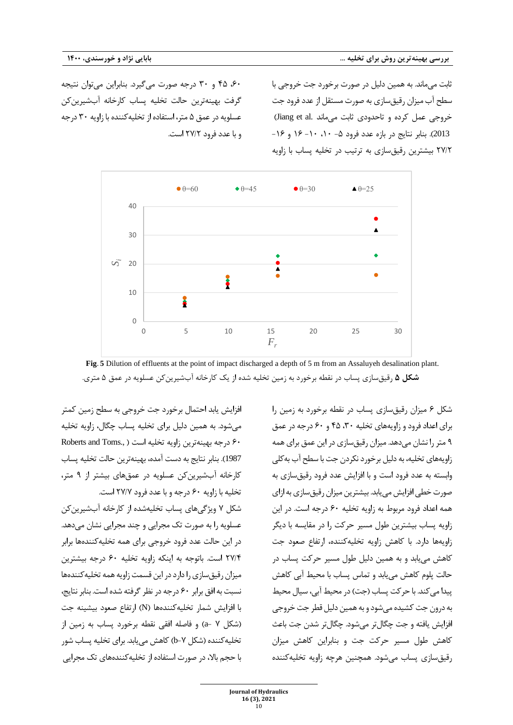،60 45 و 30 درجه صورت می گیرد. بنابراین می توان نتیجه گرفت بهینهترین حالت تخلیه پساب کارخانه آبشیرین کن عسلویه در عمق ۵ متر، استفاده از تخلیه کننده با زاویه ۳۰ درجه و با عدد فرود /2 2۷ است.

ثابت می ماند. به همین دلیل در صورت برخورد جت خروجی با سطح آب میزان رقیق سازی به صورت مستقل از عدد فرود جت خروجی عمل کرده و تاحدودی ثابت می ماند .Jiang et al 2013). بنابر نتایج در بازه عدد فرود ۵- ۱۰، ۱۰- ۱۶ و ۱۶-/2 2۷ بیشترین رقیق سازی به ترتیب در تخلیه پساب با زاویه



**Fig. 5** Dilution of effluents at the point of impact discharged a depth of 5 m from an Assaluyeh desalination plant. **شکل 5** رقیقسازی پساب در نقطه برخورد به زمین تخلیه شده از یک کارخانه آب شیرین کن عسلویه در عمق 5 متری.

افزایش یابد احتمال برخورد جت خروجی به سطح زمین کمتر می شود. به همین دلیل برای تخلیه پساب چگال، زاویه تخلیه Roberts and Toms., ) درجه بهینه ترین زاویه تخلیه است 1987). بنابر نتایج به دست آمده، بهینهترین حالت تخلیه پساب کارخانه آب شیرین کن عسلویه در عمقهای بیشتر از ۹ متر، تخلیه با زاویه ۶۰ درجه و با عدد فرود ۲۷/۷ است. شکل ۷ ویژگی های پساب تخلیه شده از کارخانه آب شیرین کن عسلویه را به صورت تک مجرایی و چند مجرایی نشان می دهد. در این حالت عدد فرود خروجی برای همه تخلیه کننده ها برابر /4 2۷ است. باتوجه به اینکه زاویه تخلیه 60 درجه بیشترین میزان رقیق سازی را دارد در این قسمت زاویه همه تخلیه کننده ها نسبت به افق برابر 60 درجه در نظر گرفته شده است.بنابر نتایج، با افزایش شمار تخلیه کنندهها (N) ارتفاع صعود بیشینه جت (شکل ۷ −a) و فاصله افقی نقطه برخورد پساب به زمین از تخلیه کننده (شکل ۷-b) کاهش می یابد. برای تخلیه پساب شور با حجم بالا، در صورت استفاده از تخلیه کنندههای تک مجرایی

شکل ۶ میزان رقیق سازی پساب در نقطه برخورد به زمین را برای اعداد فرود و زاویههای تخلیه ۳۰، ۴۵ و ۶۰ درجه در عمق 9 متر را نشان م ی دهد . م ی زان رق ی ق ساز ی درا ی ن عمق برای همه زاویههای تخلیه، به دلیل برخورد نکردن جت با سطح آب به کلی وابسته به عدد فرود است و با افزایش عدد فرود رقیق سازی به صورت خطی افزایش می یابد. بیشترین میزان رقیق سازی به ازای همه اعداد فرود مربوط به زاویه تخلیه ۶۰ درجه است. در این زاویه پساب بیشترین طول مسیر حرکت را در مقایسه با دیگر زاویهها دارد. با کاهش زاویه تخلیهکننده، ارتفاع صعود جت کاهش می یابد و به همین دلیل طول مسیر حرکت پساب در حالت پلوم کاهش می یابد و تماس پساب با محیط آبی کاهش پیدا می کند. با حرکت پساب (جت) در محیط آبی، سیال محیط به درون جت کشیده می شود و به همین دلیل قطر جت خروجی افزایش یافته و جت چگال تر می شود. چگال تر شدن جت باعث کاهش طول مسیر حرکت جت و بنابراین کاهش میزان رقیق سازی پساب می شود. همچنین هرچه زاویه تخلیه کننده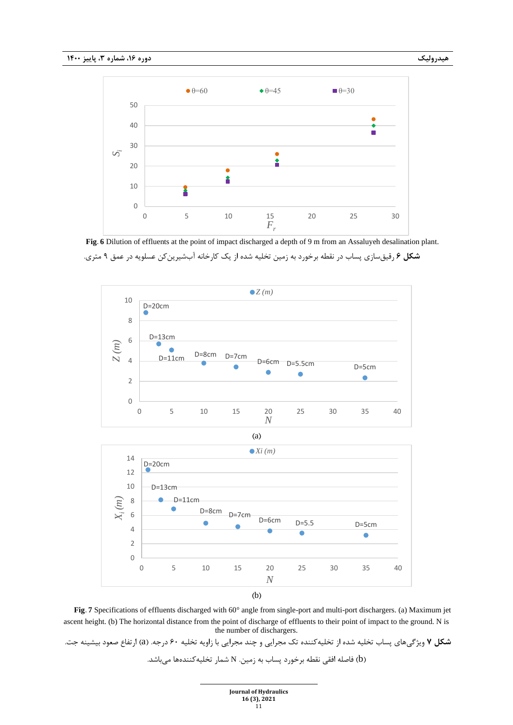

**Fig. 6** Dilution of effluents at the point of impact discharged a depth of 9 m from an Assaluyeh desalination plant. **شکل 6** رقیق سازی پساب در نقطه برخورد به زمین تخلیه شده از یک کارخانه آب شیرین کن عسلویه در عمق 9 متری.



**Fig. 7** Specifications of effluents discharged with 60° angle from single-port and multi-port dischargers. (a) Maximum jet ascent height. (b) The horizontal distance from the point of discharge of effluents to their point of impact to the ground. N is the number of dischargers.

**شکل 7** ویژگیهای پساب تخلیه شده از تخلیهکننده تک مجرایی و چند مجرایی با زاویه تخلیه 60 درجه. )a )ارتفاع صعود بیشینه جت. )b )فاصله افقی نقطه برخورد پساب به زمین. N شمار تخلیهکنندهها میباشد.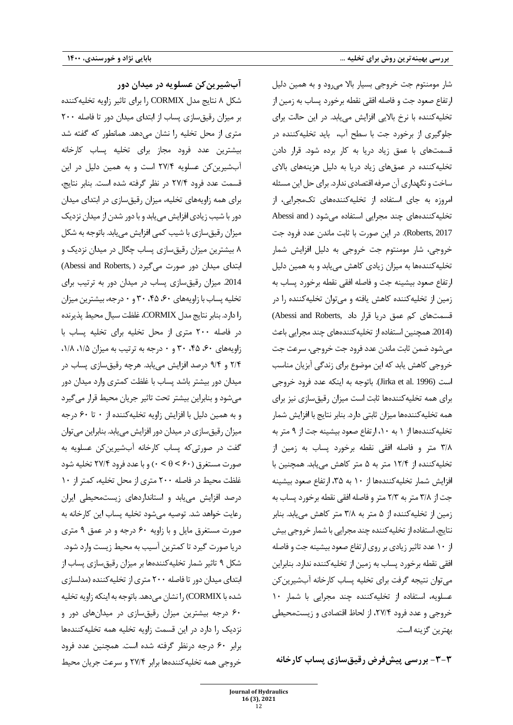شار مومنتوم جت خروجی بسیار بالا می رود و به همین دلیل ارتفاع صعود جت و فاصله افقی نقطه برخورد پساب به زمین از تخلیه کننده با نرخ بالایی افزایش می یابد. در این حالت برای جلوگیری از برخورد جت با سطح آب، باید تخلیهکننده در قسمتهای با عمق زیاد دریا به کار برده شود. قرار دادن تخلیه کننده در عمقهای زیاد دریا به دلیل هزینههای بالای ساخت و نگهداری آن صرفه اقتصادی ندارد. برای حل این مسئله امروزه به جای استفاده از تخلیهکنندههای تکمجرایی، از تخلیه کنندههای چند مجرایی استفاده می شود ( Abessi and Roberts, 2017). در این صورت با ثابت ماندن عدد فرود جت خروجی، شار مومنتوم جت خروجی به دلیل افزایش شمار تخلیه کنندهها به میزان زیادی کاهش می یابد و به همین دلیل ارتفاع صعود بیشینه جت و فاصله افقی نقطه برخورد پساب به زمین از تخلیه کننده کاهش یافته و می توان تخلیه کننده را در قسمت های کم عمق دریا قرار داد ,Abessi and Roberts (.2014 همچنین استفاده از تخلیه کننده های چند مجرایی باعث می شود ضمن ثابت ماندن عدد فرود جت خروجی، سرعت جت خرو جی کاهش یابد که این موضوع برای زندگی آبزیان مناسب است (1996 .al et Jirka(. باتوجه به اینکه عدد فرود خروجی برای همه تخلیه کننده ها ثابت است میزان رقیق سازی نیز برای همه تخلیه کنندهها میزان ثابتی دارد. بنابر نتایج با افزایش شمار تخلیه کنندهها از ١ به ١٠، ارتفاع صعود بیشینه جت از ٩ متر به /8 3 متر و فاصله افقی نقطه برخورد پساب به زمین از تخلیه کننده از /4 12 متر به 5 متر کاهش می یابد. همچنین با افزایش شمار تخلیه کنندهها از ۱۰ به ۳۵، ارتفاع صعود بیشینه جت از ۳/۸ متر به ۲/۳ متر و فاصله افقی نقطه برخورد پساب به زمین از تخلیه کننده از 5 متر به /8 3 متر کاهش می یابد. بنابر نتایج، استفاده از تخلیه کننده چند مجرایی با شمار خروجی بیش از ١٠ عدد تاثیر زیادی بر روی ارتفاع صعود بیشینه جت و فاصله افقی نقطه برخورد پساب به زمین از تخلیه کننده ندارد. بنابراین می توان نتیجه گرفت برای تخلیه پساب کارخانه آب شیرین کن عسلویه، استفاده از تخلیه کننده چند مجرایی با شمار 10 خروجی و عدد فرود /4 ،2۷ از لحاظ اقتصادی و زیست محیطی بهترین گزینه است.

**-3-3 بررسی پیشفرض رقیقسازی پساب کارخانه**

**آبشیرینکن عسلویه در میدان دور** شکل 8 نتایج مدل CORMIX را برای تاثیر زاویه تخلیه کننده بر میزان رقیق سازی پساب از ابتدای میدان دور تا فاصله 200 متری از محل تخلیه را نشان می دهد. همانطور که گفته شد بیشترین عدد فرود مجاز برای تخلیه پساب کارخانه آب شیرین کن عسلویه /4 2۷ است و به همین دلیل در این قسمت عدد فرود /4 2۷ در نظر گرفته شده است. بنابر نتایج، برای همه زاویه های تخلیه، میزان رقیق سازی در ابتدای میدان دور با شیب زیادی افزایش می یابد و با دور شدن از میدان نزدیک میزان رقیق سازی با شیب کمی افزایش می یابد. باتوجه به شکل 8 بیشترین میزان رقیق سازی پساب چگال در میدان نزدیک و ابتدای میدان دور صورت میگیرد ( Abessi and Roberts ) .2014 میزان رقیق سازی پساب در میدان دور به ترتیب برای تخلیه پساب با زاویههای ۶۰، ۴۵، ۴۵ و ۰ درجه، بیشترین میزان را دارد. بنابر نتایج مدل CORMIX، غلظت سیال محیط پذیرنده در فاصله 200 متری از محل ت خلیه برای تخلیه پساب با زاویههای ۶۰، ۴۵، ۳۰ و ۰ درجه به ترتیب به میزان ۱/۵، ۱/۸، /4 2 و /4 9 درصد افزایش می یابد. هرچه رقیق سازی پساب در میدان دور بیشتر باشد پساب با غلظت کمتری وارد میدان دور می شود و بنابراین بیشتر تحت تاثیر جریان محیط قرار می گیرد و به همین دلیل با افزایش زاویه تخلیه کننده از ۰ تا ۶۰ درجه میزان رقیق سازی در میدان دور افزایش می یابد. بنابراین می توان گفت در صورتی که پساب کارخانه آب شیرین کن عسلویه به صورت مستغرق ) 60 < > 0 )و با عدد فرود /4 2۷ تخلیه شود غلظت محیط در فاصله ۲۰۰ متری از محل تخلیه، کمتر از ۱۰ درصد افزایش می یابد و استانداردهای زیست محیطی ایران رعایت خواهد شد. توصیه می شود تخلیه پساب این کارخانه به صورت مستغرق مایل و با زاویه 60 درجه و در عمق 9 متری دریا صورت گیرد تا کمترین آسیب به محیط زیست وارد شود. شکل 9 تاثیر شمار تخلیه کننده ها بر میزان رقیق سازی پساب از ابتدای میدان دور تا فاصله 200 متری از تخلیه کننده )مدلسازی شده با CORMIX )را نشان می دهد. باتوجه به اینکه زاویه تخلیه 60 درجه بیشترین میزان رقیق سازی در میدان های دور و نزدیک را دارد در این قسمت زاویه تخلیه همه تخلیه کننده ها برابر 60 درجه درنظر گرفته شده است. همچنین عدد فرود خروجی همه تخلیه کننده ها برابر /4 2۷ و سرعت جریان محیط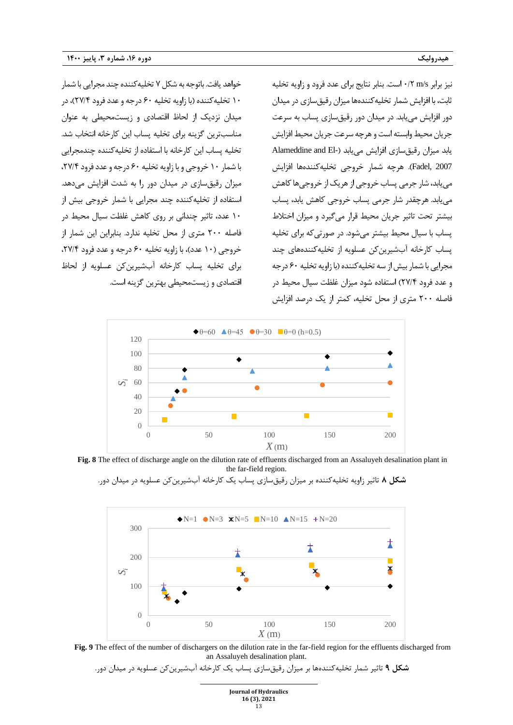خواهد یافت. باتوجه به شکل ۷ تخلیه کننده چند مجرایی با شمار 10 تخلیه کننده ) با زاویه تخلیه 60 درجه و عدد فرود /4 2۷(، در میدان نزدیک از لحاظ اقتصادی و زیست محیطی به عنوان مناسب ترین گزینه برای تخلیه پساب این کارخانه انتخاب شد. تخلیه پساب این کارخانه با استفاده از تخلیه کننده چندمجرایی با شمار 10 خروجی و با زاویه تخلیه 60 درجه و عدد فرود /4 ،2۷ میزان رقیق سازی در میدان دور را به شدت افزایش می دهد. استفاده از تخلیه کننده چند مجرایی با شمار خروجی بیش از 10 عدد، تاثیر چندانی بر روی کاهش غلظت سیال محیط در فاصله 200 متری از محل تخلیه ندارد. بنابراین این شمار از خروجی (۱۰ عدد)، با زاویه تخلیه ۶۰ درجه و عدد فرود ۲۷/۴، برای تخلیه پساب کارخانه آب شیرین کن عسلویه از لحاظ

اقتصادی و زیست محیطی بهترین گزینه است.

نیز برابر s/m /2 0 است. بنابر نتایج برای عدد فرود و زاویه تخلیه ثابت، با افزایش شمار تخلیه کننده ها میزان رقیق سازی در میدان دور افزایش می یابد. در میدان دور رقیق سازی پساب به سرعت جریان محیط وابسته است و هرچه سرعت جریان محیط افزایش یابد میزان رقیق سازی افزایش می یابد ) -El and Alameddine 2007 ,Fadel ). هرچه شمار خروجی تخلیه کننده ها افزایش می یابد، شار جرمی پساب خروجی از هریک از خروجی ها کاهش می یابد. هرچقدر شار جرمی پساب خروجی کاهش یابد، پساب بیشتر تحت تاثیر جریان محیط قرار می گیرد و میزان اختالط پساب با سیال محیط بیشتر می شود. در صورتی که برای تخلیه پساب کارخانه آب شیرین کن عسلویه از تخلیه کننده های چند مجرایی با شمار بیش از سه تخلیه کننده (با زاویه تخلیه ۶۰ درجه و عدد فرود /4 2۷( استفاده شود میزان غلظت سیال محیط در فاصله 200 متری از محل تخلیه، کمتر از یک درصد افزایش





**شکل 8** تاثیر زاویه تخلیهکننده بر میزان رقیقسازی پساب یک کارخانه آبشیرین کن عسلویه در میدان دور.





**شکل 9** تاثیر شمار تخلیهکنندهها بر میزان رقیقسازی پساب یک کارخانه آبشیرین کن عسلویه در میدان دور.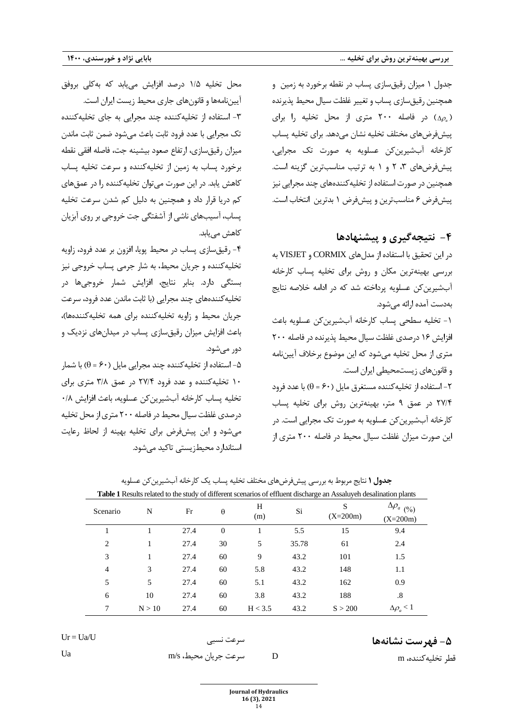جدول 1 میزان رقیق سازی پساب در نقطه برخورد به زمین و همچنین رقیق سازی پساب و تغییر غلظت سیال محیط پذیرنده ( *<sup>a</sup>* ( در فاصله 200 متری از محل تخلیه را برای پ یش فرض های مختلف تخلیه نشان می دهد. برای تخلیه پساب کارخانه آب شیرین کن عسلویه به صورت تک مجرایی، پ یش فرض های ،3 2 و 1 به ترتیب مناسب ترین گزینه است. همچنین در صورت استفاده از تخلیه کننده های چند مجرایی نیز پیش فرض ۶ مناسب ترین و پیش فرض ۱ بدترین انتخاب است.

## **-4 نتیجه گیری و پیشنهادها**

در این تحقیق با استفاده از مدل های CORMIX و VISJET به بررسی بهینه ترین مکان و روش برای تخلیه پساب کارخانه آب شیرین کن عسلویه پرداخته شد که در ادامه خالصه نتایج به دست آمده ارائه می شود.

-1 تخلیه سطحی پساب کارخانه آب شیرین کن عسلویه باعث افزایش 16 درصدی غلظت سیال محیط پذیرنده در فاصله 200 متری از محل تخلیه می شود که این موضوع برخالف آیین نامه و قانون های زیست محیطی ایران است .

استفاده از تخلیه کننده مستغرق مایل (۶۰ = 6) با عدد فرود $\mathsf{I}$ /4 2۷ در عمق 9 متر ، بهینه ترین روش برای تخلیه پساب کارخانه آب شیرین کن عسلویه به صورت تک مجرایی است . در این صورت میزان غلظت سیال محیط در فاصله 200 متری از

قطر تخلیه کننده، <sup>m</sup> <sup>D</sup>

محل تخلیه ۱/۵ درصد افزایش می یابد که بهکلی بروفق آیین نامه ها و قانون های جاری محیط زیست ایران است. ۳- استفاده از تخلیه کننده چند مجرایی به جای تخلیه کننده تک مجرایی با عدد فرود ثابت باعث می شود ضمن ثابت ماندن میزان رقیق سازی، ارتفاع صعود بیشینه جت، فاصله افقی نقطه برخورد پساب به زمین از تخلیه کننده و سرعت تخلیه پساب کاهش یابد . در این صورت می توان تخلیه کننده را در عمق های کم دریا قرار داد و همچنین به دلیل کم شدن سرعت تخلیه پساب، آسیب های ناشی از آشفتگی جت خروجی بر روی آبزیان کاهش می یابد.

-4 ر ق یق سازی پساب در محیط پویا ، افزون بر عدد فرود ، زاویه تخلیه کننده و جریان محیط ، به شار جرمی پساب خروجی نیز بستگی دارد . بنابر نتایج، افزایش شمار خروجی ها در تخلیه کنندههای چند مجرایی (با ثابت ماندن عدد فرود، سرعت جریان محیط و زاویه تخلیه کننده برای همه تخلیه کنندهها)، با عث افزایش میزان رقیق سازی پساب در میدان های نزدیک و دور می شود .

-5 استفاده از تخلیه کننده چند مجرایی مایل ) 60 = )با شمار 10 تخلیه کننده و عدد فرود /4 2۷ در عمق /8 3 متری برای تخلیه پساب کارخانه آب شیرین کن عسلویه، باعث افزایش /8 0 درصدی غلظت سیال محیط در فاصله 200 متری از محل تخلیه می شود و این پ یش فرض برای تخلیه بهینه از لحاظ رعایت استاندارد محیط زیستی تاکید می شود.

**جدول 1** نتایج مربوط به بررسی پیش فرض های مختلف تخلیه پساب یک کارخانه آب شیرین کن عسلویه

| <b>Table 1</b> Results related to the study of different scenarios of effluent discharge an Assaluyeh desalination plants |        |      |          |          |       |                 |                                           |  |
|---------------------------------------------------------------------------------------------------------------------------|--------|------|----------|----------|-------|-----------------|-------------------------------------------|--|
| Scenario                                                                                                                  | N      | Fr   | θ        | H<br>(m) | Si    | S<br>$(X=200m)$ | $\Delta\rho_{a\;\;(2_{0})}$<br>$(X=200m)$ |  |
|                                                                                                                           |        | 27.4 | $\theta$ |          | 5.5   | 15              | 9.4                                       |  |
| $\overline{c}$                                                                                                            | 1      | 27.4 | 30       | 5        | 35.78 | 61              | 2.4                                       |  |
| 3                                                                                                                         | 1      | 27.4 | 60       | 9        | 43.2  | 101             | 1.5                                       |  |
| 4                                                                                                                         | 3      | 27.4 | 60       | 5.8      | 43.2  | 148             | 1.1                                       |  |
| 5                                                                                                                         | 5      | 27.4 | 60       | 5.1      | 43.2  | 162             | 0.9                                       |  |
| 6                                                                                                                         | 10     | 27.4 | 60       | 3.8      | 43.2  | 188             | .8                                        |  |
| 7                                                                                                                         | N > 10 | 27.4 | 60       | H < 3.5  | 43.2  | S > 200         | $\Delta \rho_a < 1$                       |  |

Ur = Ua/U نسبی سرعت

**-5 فهرست نشانه ها**

سرعت جریان محیط، s/m Ua

**Journal of Hydraulics** 

**16 (3), 2021** 14